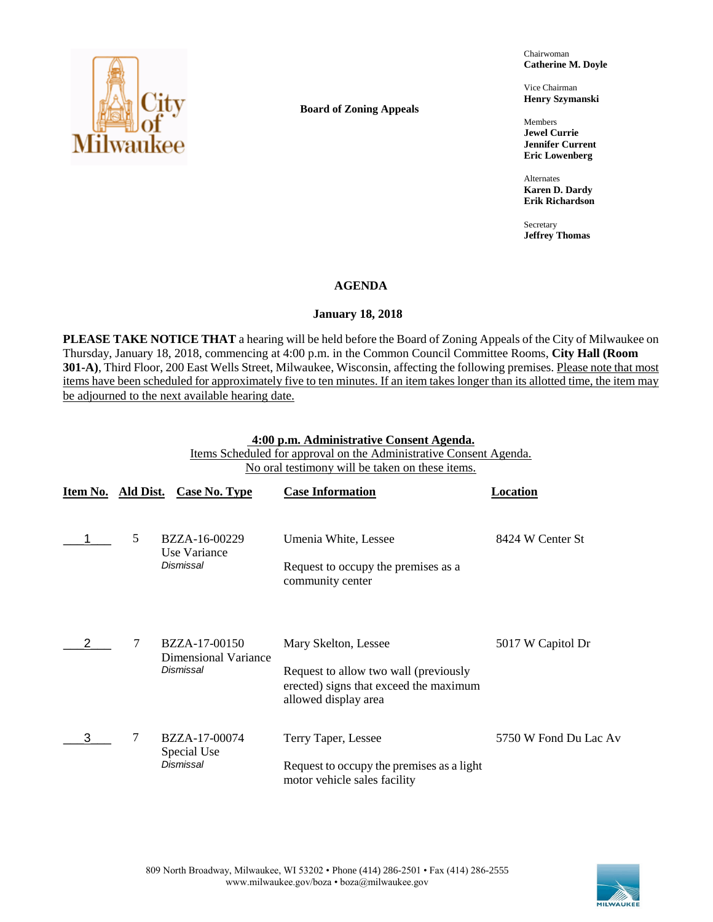

**Board of Zoning Appeals**

Chairwoman **Catherine M. Doyle**

Vice Chairman **Henry Szymanski**

Members **Jewel Currie Jennifer Current Eric Lowenberg**

Alternates **Karen D. Dardy Erik Richardson**

Secretary **Jeffrey Thomas**

# **AGENDA**

# **January 18, 2018**

**PLEASE TAKE NOTICE THAT** a hearing will be held before the Board of Zoning Appeals of the City of Milwaukee on Thursday, January 18, 2018, commencing at 4:00 p.m. in the Common Council Committee Rooms, **City Hall (Room 301-A)**, Third Floor, 200 East Wells Street, Milwaukee, Wisconsin, affecting the following premises. Please note that most items have been scheduled for approximately five to ten minutes. If an item takes longer than its allotted time, the item may be adjourned to the next available hearing date.

## **4:00 p.m. Administrative Consent Agenda.**

Items Scheduled for approval on the Administrative Consent Agenda. No oral testimony will be taken on these items.

| Item No. Ald Dist. |   | Case No. Type                                      | <b>Case Information</b>                                                                                                         | Location              |
|--------------------|---|----------------------------------------------------|---------------------------------------------------------------------------------------------------------------------------------|-----------------------|
|                    | 5 | BZZA-16-00229<br>Use Variance<br><b>Dismissal</b>  | Umenia White, Lessee<br>Request to occupy the premises as a<br>community center                                                 | 8424 W Center St      |
|                    | 7 | BZZA-17-00150<br>Dimensional Variance<br>Dismissal | Mary Skelton, Lessee<br>Request to allow two wall (previously<br>erected) signs that exceed the maximum<br>allowed display area | 5017 W Capitol Dr     |
| 3                  | 7 | BZZA-17-00074<br>Special Use<br>Dismissal          | Terry Taper, Lessee<br>Request to occupy the premises as a light<br>motor vehicle sales facility                                | 5750 W Fond Du Lac Av |

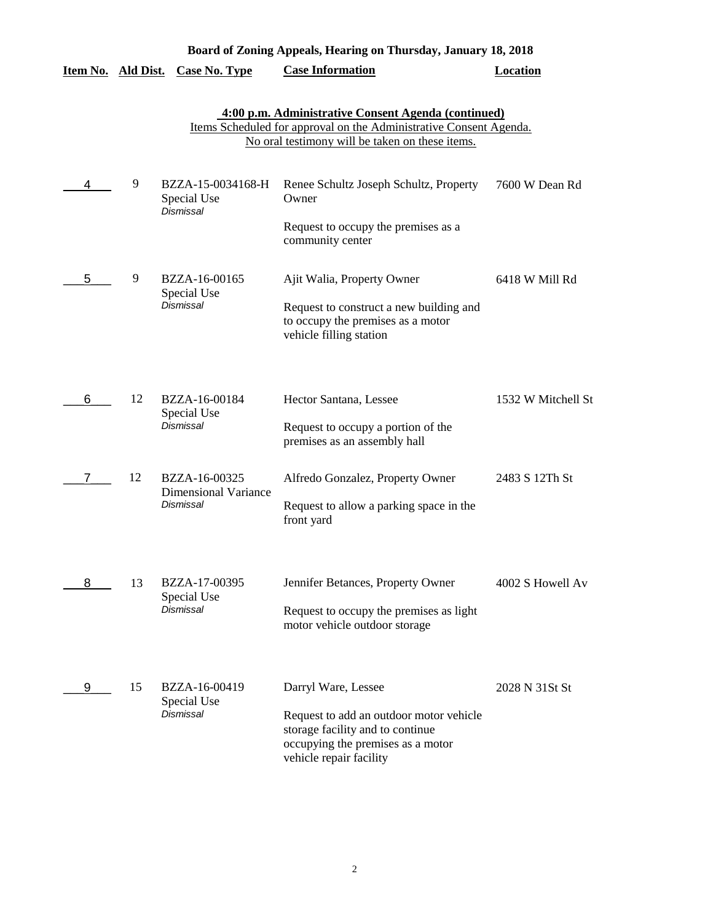|                    |    |                                                           | Board of Zoning Appeals, Hearing on Thursday, January 18, 2018                                                                                                               |                    |
|--------------------|----|-----------------------------------------------------------|------------------------------------------------------------------------------------------------------------------------------------------------------------------------------|--------------------|
| Item No. Ald Dist. |    | <b>Case No. Type</b>                                      | <b>Case Information</b>                                                                                                                                                      | <b>Location</b>    |
|                    |    |                                                           | 4:00 p.m. Administrative Consent Agenda (continued)<br>Items Scheduled for approval on the Administrative Consent Agenda.<br>No oral testimony will be taken on these items. |                    |
|                    | 9  | BZZA-15-0034168-H<br>Special Use<br>Dismissal             | Renee Schultz Joseph Schultz, Property<br>Owner<br>Request to occupy the premises as a<br>community center                                                                   | 7600 W Dean Rd     |
| 5                  | 9  | BZZA-16-00165<br>Special Use<br>Dismissal                 | Ajit Walia, Property Owner<br>Request to construct a new building and<br>to occupy the premises as a motor<br>vehicle filling station                                        | 6418 W Mill Rd     |
| 6                  | 12 | BZZA-16-00184<br>Special Use<br><b>Dismissal</b>          | Hector Santana, Lessee<br>Request to occupy a portion of the<br>premises as an assembly hall                                                                                 | 1532 W Mitchell St |
| 7                  | 12 | BZZA-16-00325<br><b>Dimensional Variance</b><br>Dismissal | Alfredo Gonzalez, Property Owner<br>Request to allow a parking space in the<br>front yard                                                                                    | 2483 S 12Th St     |
| 8                  | 13 | BZZA-17-00395<br>Special Use<br><b>Dismissal</b>          | Jennifer Betances, Property Owner<br>Request to occupy the premises as light<br>motor vehicle outdoor storage                                                                | 4002 S Howell Av   |
| 9                  | 15 | BZZA-16-00419<br>Special Use<br>Dismissal                 | Darryl Ware, Lessee<br>Request to add an outdoor motor vehicle<br>storage facility and to continue<br>occupying the premises as a motor<br>vehicle repair facility           | 2028 N 31St St     |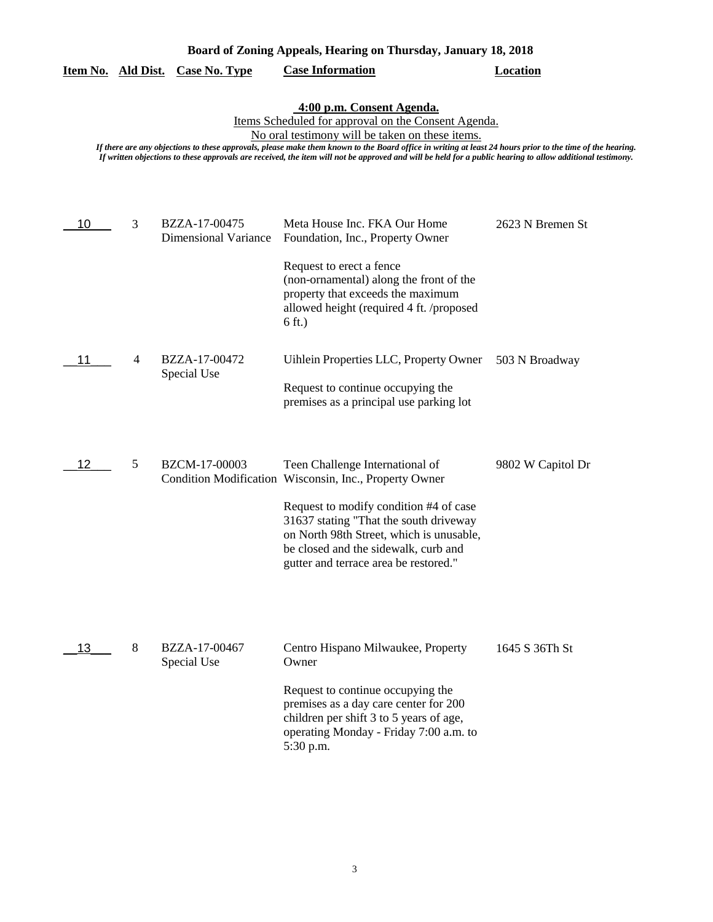|    |   |                                              | 4:00 p.m. Consent Agenda.<br>Items Scheduled for approval on the Consent Agenda.<br>No oral testimony will be taken on these items.<br>If there are any objections to these approvals, please make them known to the Board office in writing at least 24 hours prior to the time of the hearing.<br>If written objections to these approvals are received, the item will not be approved and will be held for a public hearing to allow additional testimony. |                   |
|----|---|----------------------------------------------|---------------------------------------------------------------------------------------------------------------------------------------------------------------------------------------------------------------------------------------------------------------------------------------------------------------------------------------------------------------------------------------------------------------------------------------------------------------|-------------------|
| 10 | 3 | BZZA-17-00475<br><b>Dimensional Variance</b> | Meta House Inc. FKA Our Home<br>Foundation, Inc., Property Owner<br>Request to erect a fence                                                                                                                                                                                                                                                                                                                                                                  | 2623 N Bremen St  |
|    |   |                                              | (non-ornamental) along the front of the<br>property that exceeds the maximum<br>allowed height (required 4 ft. /proposed<br>$6$ ft.)                                                                                                                                                                                                                                                                                                                          |                   |
|    | 4 | BZZA-17-00472<br>Special Use                 | Uihlein Properties LLC, Property Owner<br>Request to continue occupying the<br>premises as a principal use parking lot                                                                                                                                                                                                                                                                                                                                        | 503 N Broadway    |
| 12 | 5 | BZCM-17-00003                                | Teen Challenge International of<br>Condition Modification Wisconsin, Inc., Property Owner<br>Request to modify condition #4 of case<br>31637 stating "That the south driveway<br>on North 98th Street, which is unusable,<br>be closed and the sidewalk, curb and<br>gutter and terrace area be restored."                                                                                                                                                    | 9802 W Capitol Dr |
| 13 | 8 | BZZA-17-00467<br>Special Use                 | Centro Hispano Milwaukee, Property<br>Owner<br>Request to continue occupying the<br>premises as a day care center for 200<br>children per shift 3 to 5 years of age,<br>operating Monday - Friday 7:00 a.m. to<br>5:30 p.m.                                                                                                                                                                                                                                   | 1645 S 36Th St    |

**Board of Zoning Appeals, Hearing on Thursday, January 18, 2018** 

**Item No. Ald Dist. Case No. Type Case Information Location**

3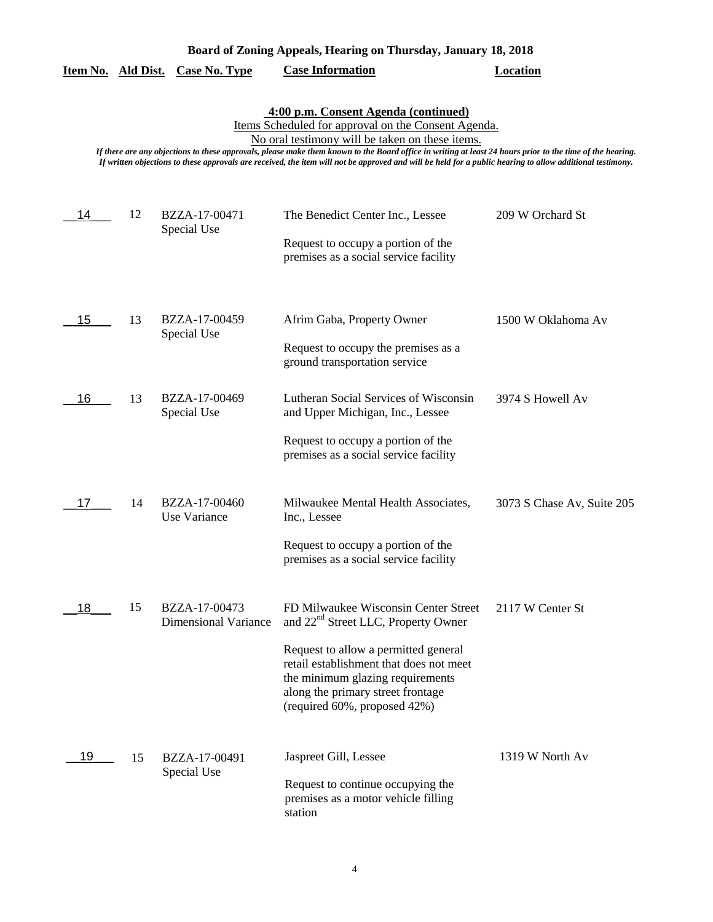| Board of Zoning Appeals, Hearing on Thursday, January 18, 2018 |
|----------------------------------------------------------------|
|----------------------------------------------------------------|

|  | Item No. Ald Dist. Case No. Type |  | <b>Case Information</b> | Location |
|--|----------------------------------|--|-------------------------|----------|
|--|----------------------------------|--|-------------------------|----------|

# **4:00 p.m. Consent Agenda (continued)**

Items Scheduled for approval on the Consent Agenda.

No oral testimony will be taken on these items.

*If there are any objections to these approvals, please make them known to the Board office in writing at least 24 hours prior to the time of the hearing. If written objections to these approvals are received, the item will not be approved and will be held for a public hearing to allow additional testimony.*

| 14 | 12 | BZZA-17-00471                                | The Benedict Center Inc., Lessee                                                                                                                                                                                                                                                    | 209 W Orchard St           |
|----|----|----------------------------------------------|-------------------------------------------------------------------------------------------------------------------------------------------------------------------------------------------------------------------------------------------------------------------------------------|----------------------------|
|    |    | Special Use                                  | Request to occupy a portion of the<br>premises as a social service facility                                                                                                                                                                                                         |                            |
| 15 | 13 | BZZA-17-00459<br>Special Use                 | Afrim Gaba, Property Owner<br>Request to occupy the premises as a<br>ground transportation service                                                                                                                                                                                  | 1500 W Oklahoma Av         |
| 16 | 13 | BZZA-17-00469<br>Special Use                 | Lutheran Social Services of Wisconsin<br>and Upper Michigan, Inc., Lessee<br>Request to occupy a portion of the<br>premises as a social service facility                                                                                                                            | 3974 S Howell Av           |
| 17 | 14 | BZZA-17-00460<br>Use Variance                | Milwaukee Mental Health Associates,<br>Inc., Lessee<br>Request to occupy a portion of the<br>premises as a social service facility                                                                                                                                                  | 3073 S Chase Av, Suite 205 |
| 18 | 15 | BZZA-17-00473<br><b>Dimensional Variance</b> | FD Milwaukee Wisconsin Center Street<br>and 22 <sup>nd</sup> Street LLC, Property Owner<br>Request to allow a permitted general<br>retail establishment that does not meet<br>the minimum glazing requirements<br>along the primary street frontage<br>(required 60%, proposed 42%) | 2117 W Center St           |
| 19 | 15 | BZZA-17-00491<br>Special Use                 | Jaspreet Gill, Lessee<br>Request to continue occupying the<br>premises as a motor vehicle filling<br>station                                                                                                                                                                        | 1319 W North Av            |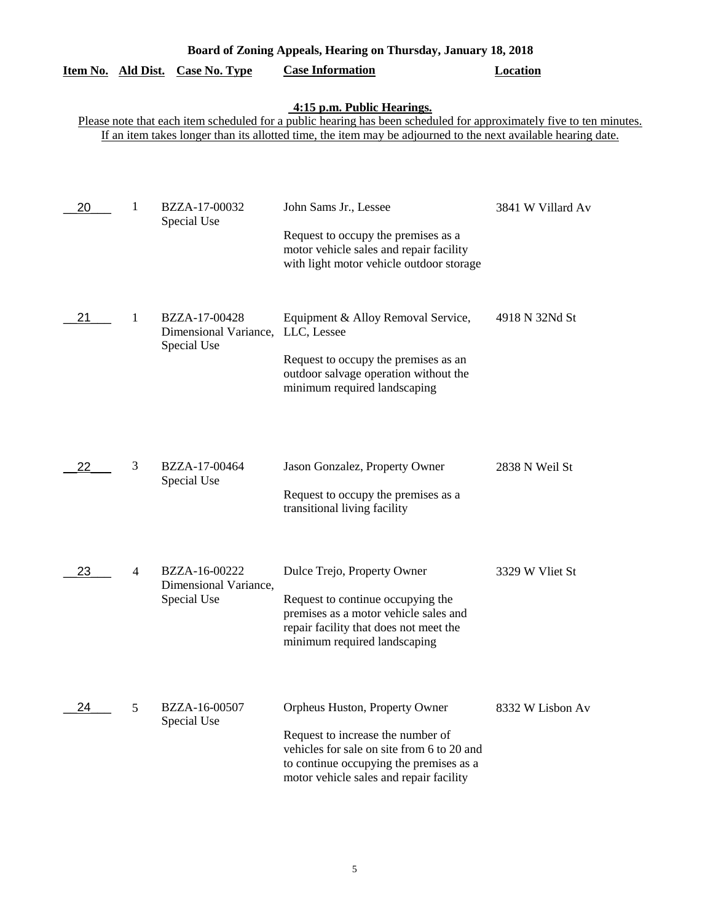| Board of Zoning Appeals, Hearing on Thursday, January 18, 2018 |   |                                                       |                                                                                                                                                                                                                                                                    |                   |  |
|----------------------------------------------------------------|---|-------------------------------------------------------|--------------------------------------------------------------------------------------------------------------------------------------------------------------------------------------------------------------------------------------------------------------------|-------------------|--|
| Item No. Ald Dist.                                             |   | <b>Case No. Type</b>                                  | <b>Case Information</b>                                                                                                                                                                                                                                            | <b>Location</b>   |  |
|                                                                |   |                                                       | 4:15 p.m. Public Hearings.<br>Please note that each item scheduled for a public hearing has been scheduled for approximately five to ten minutes.<br>If an item takes longer than its allotted time, the item may be adjourned to the next available hearing date. |                   |  |
| 20                                                             | 1 | BZZA-17-00032<br>Special Use                          | John Sams Jr., Lessee<br>Request to occupy the premises as a<br>motor vehicle sales and repair facility<br>with light motor vehicle outdoor storage                                                                                                                | 3841 W Villard Av |  |
| 21                                                             | 1 | BZZA-17-00428<br>Dimensional Variance,<br>Special Use | Equipment & Alloy Removal Service,<br>LLC, Lessee<br>Request to occupy the premises as an<br>outdoor salvage operation without the<br>minimum required landscaping                                                                                                 | 4918 N 32Nd St    |  |
| 22                                                             | 3 | BZZA-17-00464<br>Special Use                          | Jason Gonzalez, Property Owner<br>Request to occupy the premises as a<br>transitional living facility                                                                                                                                                              | 2838 N Weil St    |  |
| 23                                                             | 4 | BZZA-16-00222<br>Dimensional Variance,<br>Special Use | Dulce Trejo, Property Owner<br>Request to continue occupying the<br>premises as a motor vehicle sales and<br>repair facility that does not meet the<br>minimum required landscaping                                                                                | 3329 W Vliet St   |  |
| 24                                                             | 5 | BZZA-16-00507<br>Special Use                          | Orpheus Huston, Property Owner<br>Request to increase the number of<br>vehicles for sale on site from 6 to 20 and<br>to continue occupying the premises as a<br>motor vehicle sales and repair facility                                                            | 8332 W Lisbon Av  |  |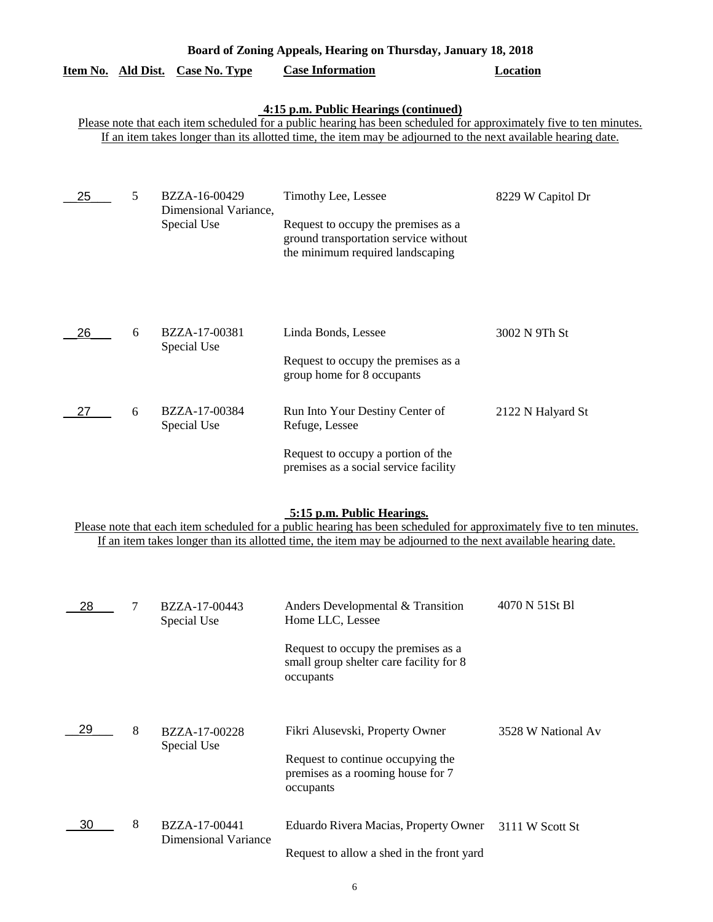| Board of Zoning Appeals, Hearing on Thursday, January 18, 2018 |   |                                                       |                                                                                                                                                                                                                                                                               |                    |  |
|----------------------------------------------------------------|---|-------------------------------------------------------|-------------------------------------------------------------------------------------------------------------------------------------------------------------------------------------------------------------------------------------------------------------------------------|--------------------|--|
| Item No. Ald Dist.                                             |   | <b>Case No. Type</b>                                  | <b>Case Information</b>                                                                                                                                                                                                                                                       | <b>Location</b>    |  |
|                                                                |   |                                                       | 4:15 p.m. Public Hearings (continued)<br>Please note that each item scheduled for a public hearing has been scheduled for approximately five to ten minutes.<br>If an item takes longer than its allotted time, the item may be adjourned to the next available hearing date. |                    |  |
| 25                                                             | 5 | BZZA-16-00429<br>Dimensional Variance,<br>Special Use | Timothy Lee, Lessee<br>Request to occupy the premises as a<br>ground transportation service without<br>the minimum required landscaping                                                                                                                                       | 8229 W Capitol Dr  |  |
| 26                                                             | 6 | BZZA-17-00381<br>Special Use                          | Linda Bonds, Lessee<br>Request to occupy the premises as a<br>group home for 8 occupants                                                                                                                                                                                      | 3002 N 9Th St      |  |
| 27                                                             | 6 | BZZA-17-00384<br>Special Use                          | Run Into Your Destiny Center of<br>Refuge, Lessee<br>Request to occupy a portion of the<br>premises as a social service facility                                                                                                                                              | 2122 N Halyard St  |  |
|                                                                |   |                                                       | 5:15 p.m. Public Hearings.<br>Please note that each item scheduled for a public hearing has been scheduled for approximately five to ten minutes.<br>If an item takes longer than its allotted time, the item may be adjourned to the next available hearing date.            |                    |  |
| 28                                                             | 7 | BZZA-17-00443<br>Special Use                          | Anders Developmental & Transition<br>Home LLC, Lessee<br>Request to occupy the premises as a<br>small group shelter care facility for 8<br>occupants                                                                                                                          | 4070 N 51St B1     |  |
| 29                                                             | 8 | BZZA-17-00228<br>Special Use                          | Fikri Alusevski, Property Owner<br>Request to continue occupying the<br>premises as a rooming house for 7<br>occupants                                                                                                                                                        | 3528 W National Av |  |
| 30                                                             | 8 | BZZA-17-00441<br><b>Dimensional Variance</b>          | Eduardo Rivera Macias, Property Owner<br>Request to allow a shed in the front yard                                                                                                                                                                                            | 3111 W Scott St    |  |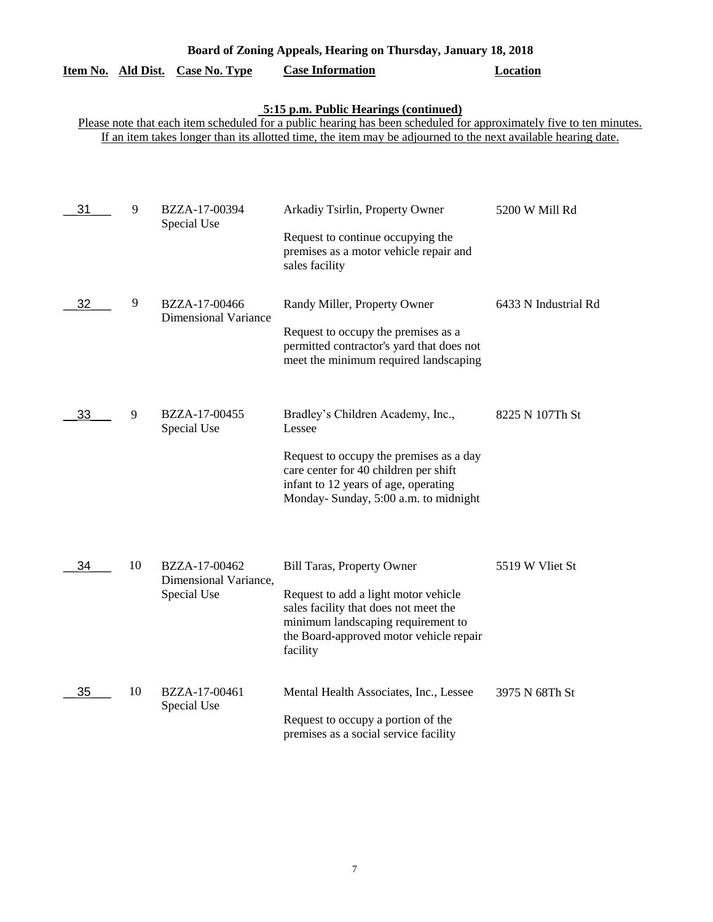| Item No. Ald Dist.                                                                                                                                           |    | <b>Case No. Type</b>                         | <b>Case Information</b>                                                                                                                                                    | <b>Location</b>      |  |
|--------------------------------------------------------------------------------------------------------------------------------------------------------------|----|----------------------------------------------|----------------------------------------------------------------------------------------------------------------------------------------------------------------------------|----------------------|--|
| 5:15 p.m. Public Hearings (continued)<br>Please note that each item scheduled for a public hearing has been scheduled for approximately five to ten minutes. |    |                                              |                                                                                                                                                                            |                      |  |
|                                                                                                                                                              |    |                                              | If an item takes longer than its allotted time, the item may be adjourned to the next available hearing date.                                                              |                      |  |
|                                                                                                                                                              |    |                                              |                                                                                                                                                                            |                      |  |
| 31                                                                                                                                                           | 9  | BZZA-17-00394<br>Special Use                 | Arkadiy Tsirlin, Property Owner                                                                                                                                            | 5200 W Mill Rd       |  |
|                                                                                                                                                              |    |                                              | Request to continue occupying the<br>premises as a motor vehicle repair and<br>sales facility                                                                              |                      |  |
| 32                                                                                                                                                           | 9  | BZZA-17-00466<br><b>Dimensional Variance</b> | Randy Miller, Property Owner                                                                                                                                               | 6433 N Industrial Rd |  |
|                                                                                                                                                              |    |                                              | Request to occupy the premises as a<br>permitted contractor's yard that does not<br>meet the minimum required landscaping                                                  |                      |  |
| 33                                                                                                                                                           | 9  | BZZA-17-00455<br>Special Use                 | Bradley's Children Academy, Inc.,<br>Lessee                                                                                                                                | 8225 N 107Th St      |  |
|                                                                                                                                                              |    |                                              | Request to occupy the premises as a day<br>care center for 40 children per shift<br>infant to 12 years of age, operating<br>Monday- Sunday, 5:00 a.m. to midnight          |                      |  |
| 34                                                                                                                                                           | 10 | BZZA-17-00462                                | <b>Bill Taras, Property Owner</b>                                                                                                                                          | 5519 W Vliet St      |  |
|                                                                                                                                                              |    | Dimensional Variance,<br>Special Use         | Request to add a light motor vehicle<br>sales facility that does not meet the<br>minimum landscaping requirement to<br>the Board-approved motor vehicle repair<br>facility |                      |  |
| 35                                                                                                                                                           | 10 | BZZA-17-00461<br>Special Use                 | Mental Health Associates, Inc., Lessee                                                                                                                                     | 3975 N 68Th St       |  |
|                                                                                                                                                              |    |                                              | Request to occupy a portion of the<br>premises as a social service facility                                                                                                |                      |  |

**Board of Zoning Appeals, Hearing on Thursday, January 18, 2018**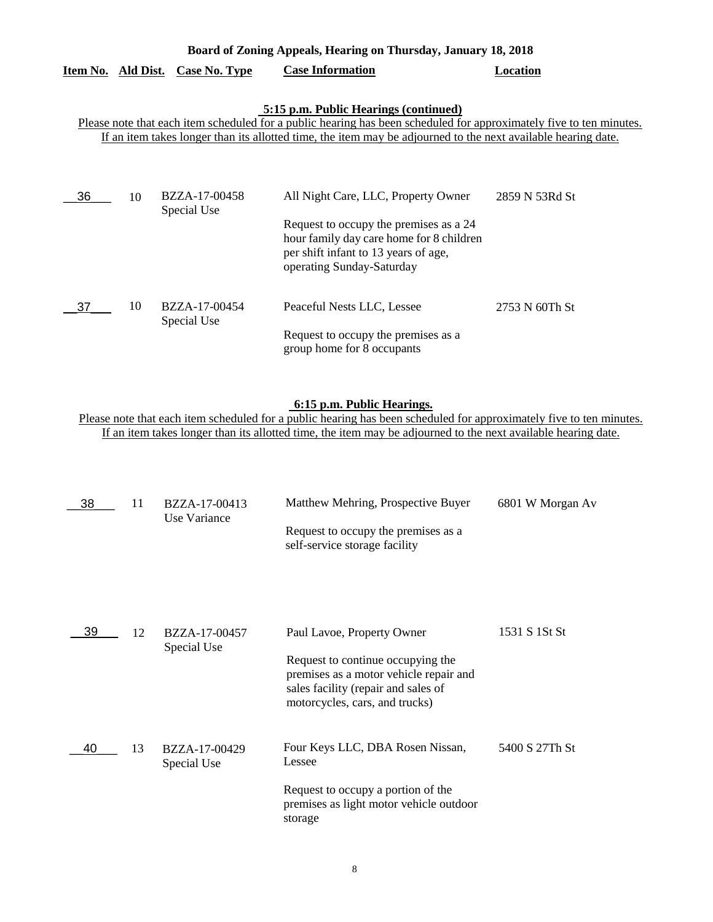|                    | Board of Zoning Appeals, Hearing on Thursday, January 18, 2018 |                              |                                                                                                                                                                                                                                                                               |                |  |
|--------------------|----------------------------------------------------------------|------------------------------|-------------------------------------------------------------------------------------------------------------------------------------------------------------------------------------------------------------------------------------------------------------------------------|----------------|--|
| Item No. Ald Dist. |                                                                | <b>Case No. Type</b>         | <b>Case Information</b>                                                                                                                                                                                                                                                       | Location       |  |
|                    |                                                                |                              | 5:15 p.m. Public Hearings (continued)<br>Please note that each item scheduled for a public hearing has been scheduled for approximately five to ten minutes.<br>If an item takes longer than its allotted time, the item may be adjourned to the next available hearing date. |                |  |
| 36                 | 10                                                             | BZZA-17-00458<br>Special Use | All Night Care, LLC, Property Owner<br>Request to occupy the premises as a 24<br>hour family day care home for 8 children<br>per shift infant to 13 years of age,<br>operating Sunday-Saturday                                                                                | 2859 N 53Rd St |  |
| 37                 | 10                                                             | BZZA-17-00454<br>Special Use | Peaceful Nests LLC, Lessee<br>Request to occupy the premises as a                                                                                                                                                                                                             | 2753 N 60Th St |  |

## **6:15 p.m. Public Hearings.**

group home for 8 occupants

Please note that each item scheduled for a public hearing has been scheduled for approximately five to ten minutes. If an item takes longer than its allotted time, the item may be adjourned to the next available hearing date.

| 38 | 11 | BZZA-17-00413<br>Use Variance | Matthew Mehring, Prospective Buyer<br>Request to occupy the premises as a<br>self-service storage facility                                                                         | 6801 W Morgan Av |
|----|----|-------------------------------|------------------------------------------------------------------------------------------------------------------------------------------------------------------------------------|------------------|
| 39 | 12 | BZZA-17-00457<br>Special Use  | Paul Lavoe, Property Owner<br>Request to continue occupying the<br>premises as a motor vehicle repair and<br>sales facility (repair and sales of<br>motorcycles, cars, and trucks) | 1531 S 1St St    |
| 40 | 13 | BZZA-17-00429<br>Special Use  | Four Keys LLC, DBA Rosen Nissan,<br>Lessee<br>Request to occupy a portion of the<br>premises as light motor vehicle outdoor<br>storage                                             | 5400 S 27Th St   |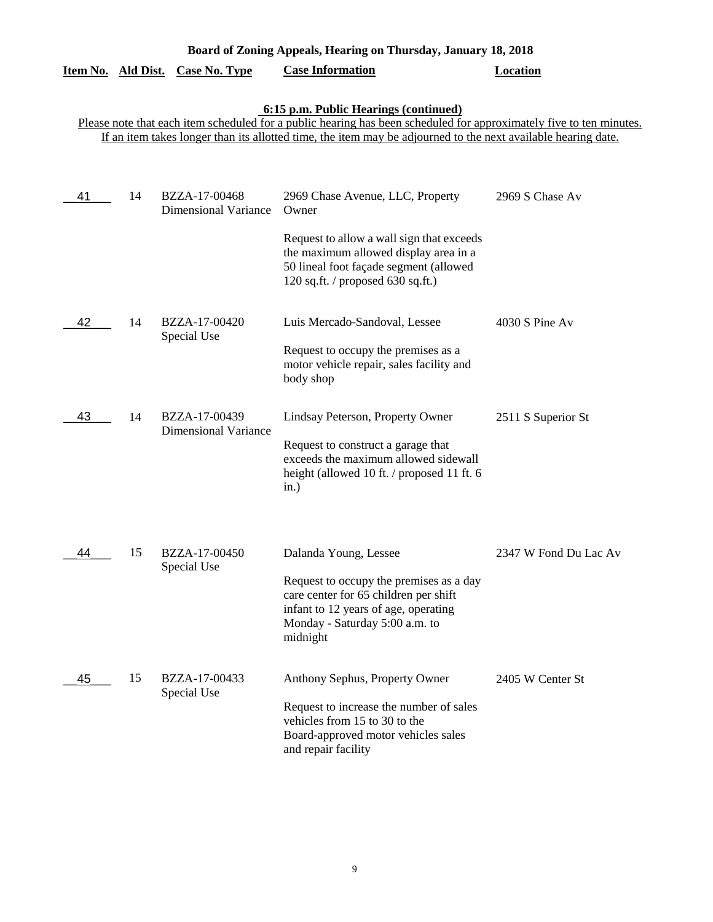| Board of Zoning Appeals, Hearing on Thursday, January 18, 2018 |                  |                                              |                                                                                                                                                                                                                                                                               |                       |  |
|----------------------------------------------------------------|------------------|----------------------------------------------|-------------------------------------------------------------------------------------------------------------------------------------------------------------------------------------------------------------------------------------------------------------------------------|-----------------------|--|
| <u>Item No.</u>                                                | <b>Ald Dist.</b> | <b>Case No. Type</b>                         | <b>Case Information</b>                                                                                                                                                                                                                                                       | <b>Location</b>       |  |
|                                                                |                  |                                              | 6:15 p.m. Public Hearings (continued)<br>Please note that each item scheduled for a public hearing has been scheduled for approximately five to ten minutes.<br>If an item takes longer than its allotted time, the item may be adjourned to the next available hearing date. |                       |  |
| 41                                                             | 14               | BZZA-17-00468<br><b>Dimensional Variance</b> | 2969 Chase Avenue, LLC, Property<br>Owner<br>Request to allow a wall sign that exceeds<br>the maximum allowed display area in a<br>50 lineal foot façade segment (allowed<br>120 sq.ft. / proposed $630$ sq.ft.)                                                              | 2969 S Chase Av       |  |
| 42                                                             | 14               | BZZA-17-00420<br>Special Use                 | Luis Mercado-Sandoval, Lessee<br>Request to occupy the premises as a<br>motor vehicle repair, sales facility and<br>body shop                                                                                                                                                 | 4030 S Pine Av        |  |
| 43                                                             | 14               | BZZA-17-00439<br><b>Dimensional Variance</b> | Lindsay Peterson, Property Owner<br>Request to construct a garage that<br>exceeds the maximum allowed sidewall<br>height (allowed 10 ft. / proposed 11 ft. 6<br>in.)                                                                                                          | 2511 S Superior St    |  |
| 44                                                             | 15               | BZZA-17-00450<br>Special Use                 | Dalanda Young, Lessee<br>Request to occupy the premises as a day<br>care center for 65 children per shift<br>infant to 12 years of age, operating<br>Monday - Saturday 5:00 a.m. to<br>midnight                                                                               | 2347 W Fond Du Lac Av |  |
| 45                                                             | 15               | BZZA-17-00433<br>Special Use                 | Anthony Sephus, Property Owner<br>Request to increase the number of sales<br>vehicles from 15 to 30 to the<br>Board-approved motor vehicles sales<br>and repair facility                                                                                                      | 2405 W Center St      |  |